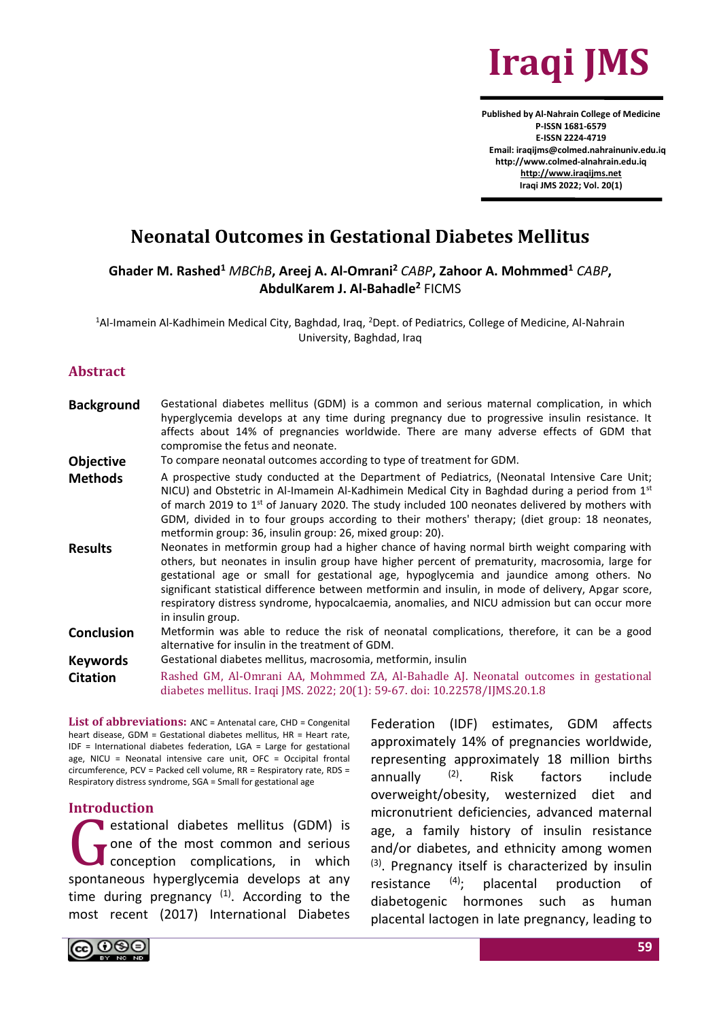

**Published by Al-Nahrain College of Medicine P-ISSN 1681-6579 E-ISSN 2224-4719 Email: iraqijms@colmed.nahrainuniv.edu.iq http://www.colmed-alnahrain.edu.iq [http://www.iraqijms.net](http://www.iraqijms.net/) Iraqi JMS 2022; Vol. 20(1)**

# **Neonatal Outcomes in Gestational Diabetes Mellitus**

**Ghader M. Rashed<sup>1</sup>** *MBChB***, Areej A. Al-Omrani<sup>2</sup>** *CABP***, Zahoor A. Mohmmed<sup>1</sup>** *CABP***, AbdulKarem J. Al-Bahadle<sup>2</sup>** FICMS

<sup>1</sup>Al-Imamein Al-Kadhimein Medical City, Baghdad, Iraq, <sup>2</sup>Dept. of Pediatrics, College of Medicine, Al-Nahrain University, Baghdad, Iraq

#### **Abstract**

**Background** Gestational diabetes mellitus (GDM) is a common and serious maternal complication, in which hyperglycemia develops at any time during pregnancy due to progressive insulin resistance. It affects about 14% of pregnancies worldwide. There are many adverse effects of GDM that compromise the fetus and neonate. **Objective** To compare neonatal outcomes according to type of treatment for GDM. Methods A prospective study conducted at the Department of Pediatrics, (Neonatal Intensive Care Unit; NICU) and Obstetric in Al-Imamein Al-Kadhimein Medical City in Baghdad during a period from 1st of march 2019 to 1<sup>st</sup> of January 2020. The study included 100 neonates delivered by mothers with GDM, divided in to four groups according to their mothers' therapy; (diet group: 18 neonates, metformin group: 36, insulin group: 26, mixed group: 20). **Results** Neonates in metformin group had a higher chance of having normal birth weight comparing with others, but neonates in insulin group have higher percent of prematurity, macrosomia, large for gestational age or small for gestational age, hypoglycemia and jaundice among others. No significant statistical difference between metformin and insulin, in mode of delivery, Apgar score, respiratory distress syndrome, hypocalcaemia, anomalies, and NICU admission but can occur more in insulin group. **Conclusion** Metformin was able to reduce the risk of neonatal complications, therefore, it can be a good alternative for insulin in the treatment of GDM. **Keywords** Gestational diabetes mellitus, macrosomia, metformin, insulin **Citation** Rashed GM, Al-Omrani AA, Mohmmed ZA, Al-Bahadle AJ. Neonatal outcomes in gestational diabetes mellitus. Iraqi JMS. 2022; 20(1): 59-67. doi: 10.22578/IJMS.20.1.8

**List of abbreviations:** ANC = Antenatal care, CHD = Congenital heart disease, GDM = Gestational diabetes mellitus, HR = Heart rate, IDF = International diabetes federation, LGA = Large for gestational age, NICU = Neonatal intensive care unit, OFC = Occipital frontal circumference, PCV = Packed cell volume, RR = Respiratory rate, RDS = Respiratory distress syndrome, SGA = Small for gestational age

#### **Introduction**

estational diabetes mellitus (GDM) is one of the most common and serious conception complications, in which spontaneous hyperglycemia develops at any time during pregnancy  $(1)$ . According to the most recent (2017) International Diabetes G<sub>mata</sub>

Federation (IDF) estimates, GDM affects approximately 14% of pregnancies worldwide, representing approximately 18 million births annually (2). Risk factors include overweight/obesity, westernized diet and micronutrient deficiencies, advanced maternal age, a family history of insulin resistance and/or diabetes, and ethnicity among women  $(3)$ . Pregnancy itself is characterized by insulin resistance  $(4)$ ; placental production of diabetogenic hormones such as human placental lactogen in late pregnancy, leading to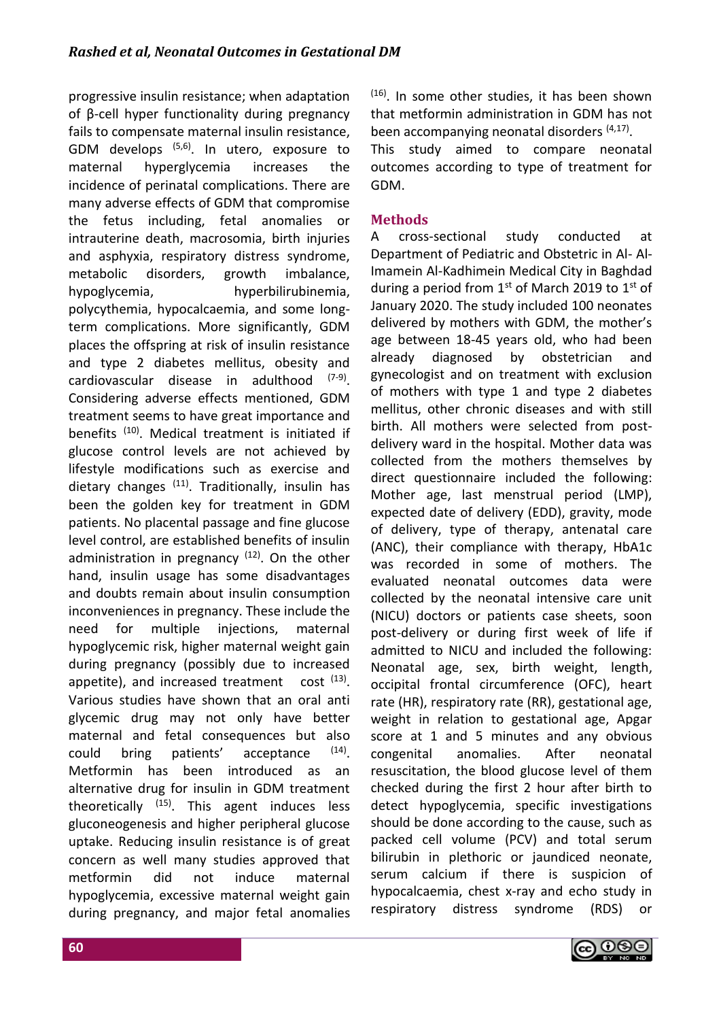progressive insulin resistance; when adaptation of β-cell hyper functionality during pregnancy fails to compensate maternal insulin resistance, GDM develops  $(5,6)$ . In utero, exposure to maternal hyperglycemia increases the incidence of perinatal complications. There are many adverse effects of GDM that compromise the fetus including, fetal anomalies or intrauterine death, macrosomia, birth injuries and asphyxia, respiratory distress syndrome, metabolic disorders, growth imbalance, hypoglycemia, hyperbilirubinemia, polycythemia, hypocalcaemia, and some longterm complications. More significantly, GDM places the offspring at risk of insulin resistance and type 2 diabetes mellitus, obesity and cardiovascular disease in adulthood (7-9). Considering adverse effects mentioned, GDM treatment seems to have great importance and benefits<sup>(10)</sup>. Medical treatment is initiated if glucose control levels are not achieved by lifestyle modifications such as exercise and dietary changes  $(11)$ . Traditionally, insulin has been the golden key for treatment in GDM patients. No placental passage and fine glucose level control, are established benefits of insulin administration in pregnancy  $(12)$ . On the other hand, insulin usage has some disadvantages and doubts remain about insulin consumption inconveniences in pregnancy. These include the need for multiple injections, maternal hypoglycemic risk, higher maternal weight gain during pregnancy (possibly due to increased appetite), and increased treatment cost  $(13)$ . Various studies have shown that an oral anti glycemic drug may not only have better maternal and fetal consequences but also could bring patients' acceptance  $(14)$ Metformin has been introduced as an alternative drug for insulin in GDM treatment theoretically  $(15)$ . This agent induces less gluconeogenesis and higher peripheral glucose uptake. Reducing insulin resistance is of great concern as well many studies approved that metformin did not induce maternal hypoglycemia, excessive maternal weight gain during pregnancy, and major fetal anomalies  $(16)$ . In some other studies, it has been shown that metformin administration in GDM has not been accompanying neonatal disorders (4,17).

This study aimed to compare neonatal outcomes according to type of treatment for GDM.

# **Methods**

A cross-sectional study conducted at Department of Pediatric and Obstetric in Al- Al-Imamein Al-Kadhimein Medical City in Baghdad during a period from  $1<sup>st</sup>$  of March 2019 to  $1<sup>st</sup>$  of January 2020. The study included 100 neonates delivered by mothers with GDM, the mother's age between 18-45 years old, who had been already diagnosed by obstetrician and gynecologist and on treatment with exclusion of mothers with type 1 and type 2 diabetes mellitus, other chronic diseases and with still birth. All mothers were selected from postdelivery ward in the hospital. Mother data was collected from the mothers themselves by direct questionnaire included the following: Mother age, last menstrual period (LMP), expected date of delivery (EDD), gravity, mode of delivery, type of therapy, antenatal care (ANC), their compliance with therapy, HbA1c was recorded in some of mothers. The evaluated neonatal outcomes data were collected by the neonatal intensive care unit (NICU) doctors or patients case sheets, soon post-delivery or during first week of life if admitted to NICU and included the following: Neonatal age, sex, birth weight, length, occipital frontal circumference (OFC), heart rate (HR), respiratory rate (RR), gestational age, weight in relation to gestational age, Apgar score at 1 and 5 minutes and any obvious congenital anomalies. After neonatal resuscitation, the blood glucose level of them checked during the first 2 hour after birth to detect hypoglycemia, specific investigations should be done according to the cause, such as packed cell volume (PCV) and total serum bilirubin in plethoric or jaundiced neonate, serum calcium if there is suspicion of hypocalcaemia, chest x-ray and echo study in respiratory distress syndrome (RDS) or

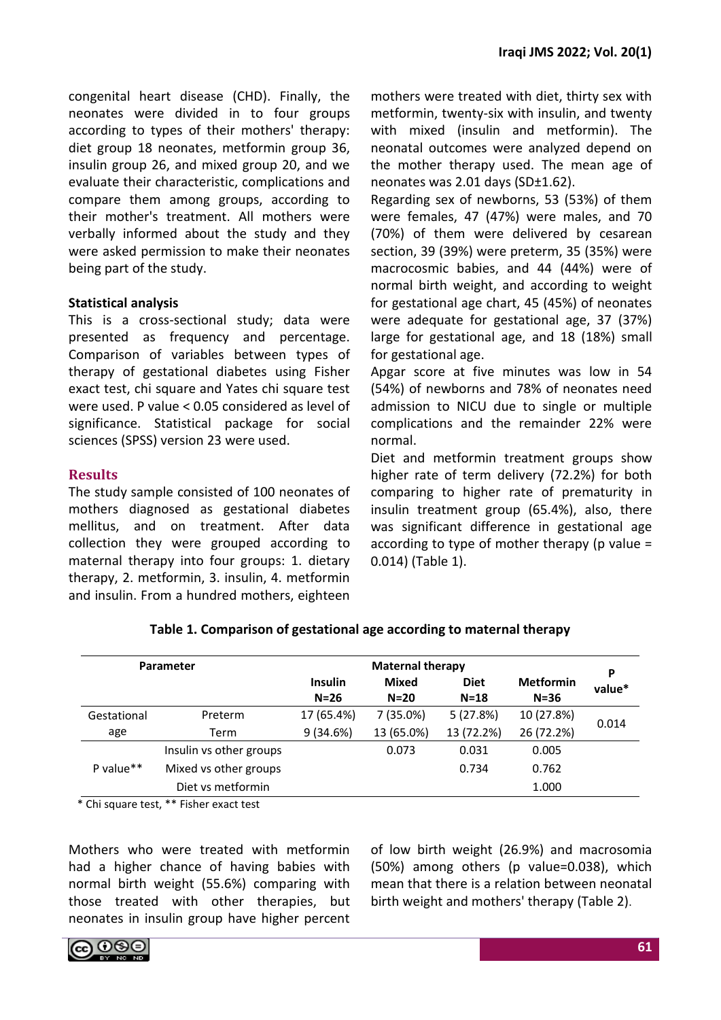congenital heart disease (CHD). Finally, the neonates were divided in to four groups according to types of their mothers' therapy: diet group 18 neonates, metformin group 36, insulin group 26, and mixed group 20, and we evaluate their characteristic, complications and compare them among groups, according to their mother's treatment. All mothers were verbally informed about the study and they were asked permission to make their neonates being part of the study.

### **Statistical analysis**

This is a cross-sectional study; data were presented as frequency and percentage. Comparison of variables between types of therapy of gestational diabetes using Fisher exact test, chi square and Yates chi square test were used. P value < 0.05 considered as level of significance. Statistical package for social sciences (SPSS) version 23 were used.

# **Results**

The study sample consisted of 100 neonates of mothers diagnosed as gestational diabetes mellitus, and on treatment. After data collection they were grouped according to maternal therapy into four groups: 1. dietary therapy, 2. metformin, 3. insulin, 4. metformin and insulin. From a hundred mothers, eighteen mothers were treated with diet, thirty sex with metformin, twenty-six with insulin, and twenty with mixed (insulin and metformin). The neonatal outcomes were analyzed depend on the mother therapy used. The mean age of neonates was 2.01 days (SD±1.62).

Regarding sex of newborns, 53 (53%) of them were females, 47 (47%) were males, and 70 (70%) of them were delivered by cesarean section, 39 (39%) were preterm, 35 (35%) were macrocosmic babies, and 44 (44%) were of normal birth weight, and according to weight for gestational age chart, 45 (45%) of neonates were adequate for gestational age, 37 (37%) large for gestational age, and 18 (18%) small for gestational age.

Apgar score at five minutes was low in 54 (54%) of newborns and 78% of neonates need admission to NICU due to single or multiple complications and the remainder 22% were normal.

Diet and metformin treatment groups show higher rate of term delivery (72.2%) for both comparing to higher rate of prematurity in insulin treatment group (65.4%), also, there was significant difference in gestational age according to type of mother therapy (p value  $=$ 0.014) (Table 1).

| Parameter<br>$N=26$ |                         |                | <b>Maternal therapy</b> |                       | P                            |        |
|---------------------|-------------------------|----------------|-------------------------|-----------------------|------------------------------|--------|
|                     |                         | <b>Insulin</b> | <b>Mixed</b><br>$N=20$  | <b>Diet</b><br>$N=18$ | <b>Metformin</b><br>$N = 36$ | value* |
| Gestational         | Preterm                 | 17 (65.4%)     | 7 (35.0%)               | 5(27.8%)              | 10 (27.8%)                   | 0.014  |
| age                 | Term                    | 9(34.6%)       | 13 (65.0%)              | 13 (72.2%)            | 26 (72.2%)                   |        |
|                     | Insulin vs other groups |                | 0.073                   | 0.031                 | 0.005                        |        |
| P value $**$        | Mixed vs other groups   |                |                         | 0.734                 | 0.762                        |        |
|                     | Diet vs metformin       |                |                         |                       | 1.000                        |        |

# **Table 1. Comparison of gestational age according to maternal therapy**

\* Chi square test, \*\* Fisher exact test

Mothers who were treated with metformin had a higher chance of having babies with normal birth weight (55.6%) comparing with those treated with other therapies, but neonates in insulin group have higher percent

of low birth weight (26.9%) and macrosomia (50%) among others (p value=0.038), which mean that there is a relation between neonatal birth weight and mothers' therapy (Table 2).

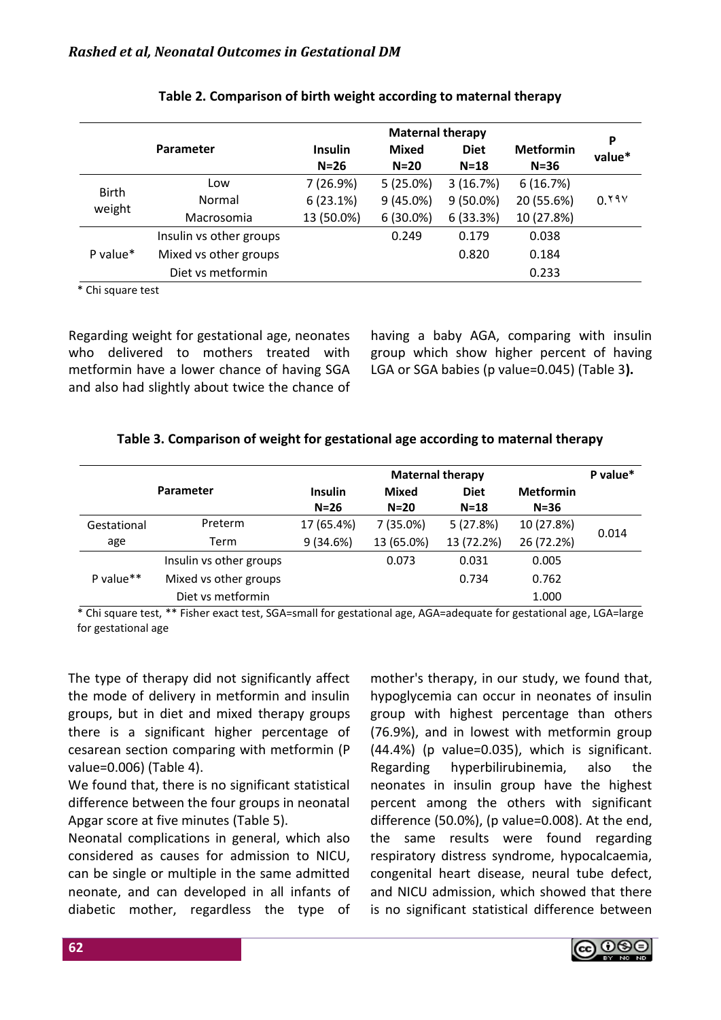|                        |                         | <b>Maternal therapy</b>  |                        |                       |                              |             |
|------------------------|-------------------------|--------------------------|------------------------|-----------------------|------------------------------|-------------|
| Parameter              |                         | <b>Insulin</b><br>$N=26$ | <b>Mixed</b><br>$N=20$ | <b>Diet</b><br>$N=18$ | <b>Metformin</b><br>$N = 36$ | P<br>value* |
| <b>Birth</b><br>weight | Low                     | 7(26.9%)                 | $5(25.0\%)$            | 3(16.7%)              | 6(16.7%)                     |             |
|                        | Normal                  | 6(23.1%)                 | 9(45.0%)               | $9(50.0\%)$           | 20 (55.6%)                   | 0.191       |
|                        | Macrosomia              | 13 (50.0%)               | 6(30.0%)               | 6(33.3%)              | 10 (27.8%)                   |             |
|                        | Insulin vs other groups |                          | 0.249                  | 0.179                 | 0.038                        |             |
| P value*               | Mixed vs other groups   |                          |                        | 0.820                 | 0.184                        |             |
|                        | Diet vs metformin       |                          |                        |                       | 0.233                        |             |

## **Table 2. Comparison of birth weight according to maternal therapy**

\* Chi square test

Regarding weight for gestational age, neonates who delivered to mothers treated with metformin have a lower chance of having SGA and also had slightly about twice the chance of having a baby AGA, comparing with insulin group which show higher percent of having LGA or SGA babies (p value=0.045) (Table 3**).**

# **Table 3. Comparison of weight for gestational age according to maternal therapy**

|              |                         | <b>Maternal therapy</b>  |                        |                       |                              |       |
|--------------|-------------------------|--------------------------|------------------------|-----------------------|------------------------------|-------|
|              | <b>Parameter</b>        | <b>Insulin</b><br>$N=26$ | <b>Mixed</b><br>$N=20$ | <b>Diet</b><br>$N=18$ | <b>Metformin</b><br>$N = 36$ |       |
| Gestational  | Preterm                 | 17 (65.4%)               | 7 (35.0%)              | 5(27.8%)              | 10 (27.8%)                   | 0.014 |
| age          | Term                    | 9(34.6%)                 | 13 (65.0%)             | 13 (72.2%)            | 26 (72.2%)                   |       |
|              | Insulin vs other groups |                          | 0.073                  | 0.031                 | 0.005                        |       |
| P value $**$ | Mixed vs other groups   |                          |                        | 0.734                 | 0.762                        |       |
|              | Diet vs metformin       |                          |                        |                       | 1.000                        |       |
|              |                         |                          |                        |                       |                              |       |

\* Chi square test, \*\* Fisher exact test, SGA=small for gestational age, AGA=adequate for gestational age, LGA=large for gestational age

The type of therapy did not significantly affect the mode of delivery in metformin and insulin groups, but in diet and mixed therapy groups there is a significant higher percentage of cesarean section comparing with metformin (P value=0.006) (Table 4).

We found that, there is no significant statistical difference between the four groups in neonatal Apgar score at five minutes (Table 5).

Neonatal complications in general, which also considered as causes for admission to NICU, can be single or multiple in the same admitted neonate, and can developed in all infants of diabetic mother, regardless the type of mother's therapy, in our study, we found that, hypoglycemia can occur in neonates of insulin group with highest percentage than others (76.9%), and in lowest with metformin group (44.4%) (p value=0.035), which is significant. Regarding hyperbilirubinemia, also the neonates in insulin group have the highest percent among the others with significant difference (50.0%), (p value=0.008). At the end, the same results were found regarding respiratory distress syndrome, hypocalcaemia, congenital heart disease, neural tube defect, and NICU admission, which showed that there is no significant statistical difference between

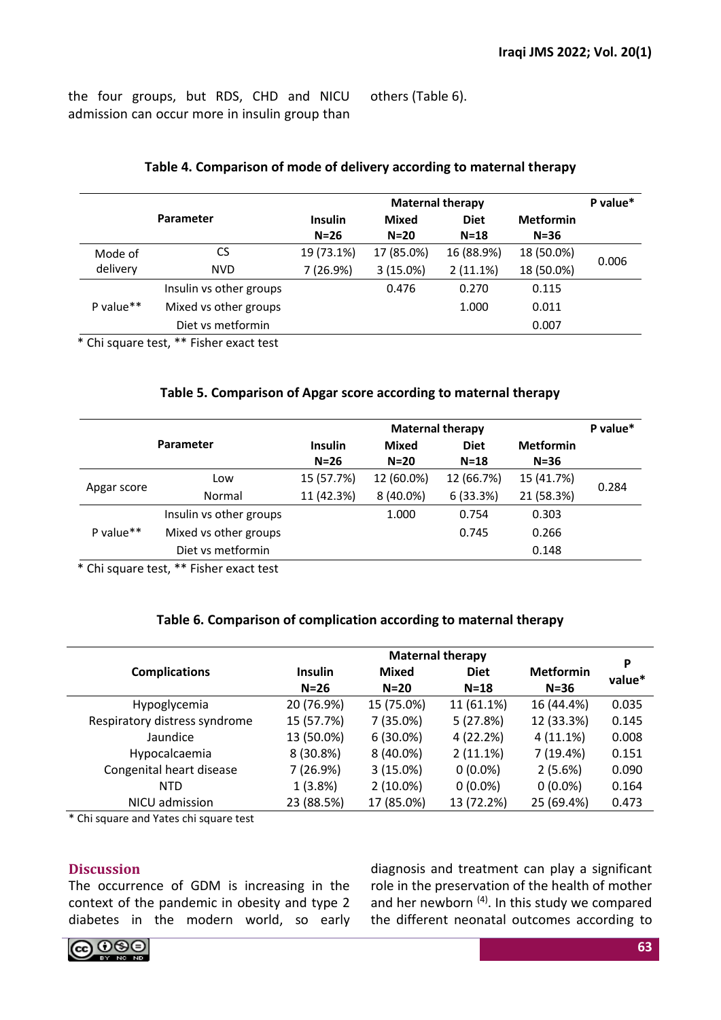the four groups, but RDS, CHD and NICU admission can occur more in insulin group than others (Table 6).

|              | <b>Maternal therapy</b> |                |              |             | P value*         |       |
|--------------|-------------------------|----------------|--------------|-------------|------------------|-------|
| Parameter    |                         | <b>Insulin</b> | <b>Mixed</b> | <b>Diet</b> | <b>Metformin</b> |       |
|              |                         | $N=26$         | $N=20$       | $N=18$      | $N = 36$         |       |
| Mode of      | CS                      | 19 (73.1%)     | 17 (85.0%)   | 16 (88.9%)  | 18 (50.0%)       | 0.006 |
| delivery     | <b>NVD</b>              | 7 (26.9%)      | 3(15.0%)     | 2(11.1%)    | 18 (50.0%)       |       |
|              | Insulin vs other groups |                | 0.476        | 0.270       | 0.115            |       |
| P value $**$ | Mixed vs other groups   |                |              | 1.000       | 0.011            |       |
|              | Diet vs metformin       |                |              |             | 0.007            |       |
|              |                         |                |              |             |                  |       |

# **Table 4. Comparison of mode of delivery according to maternal therapy**

\* Chi square test, \*\* Fisher exact test

# **Table 5. Comparison of Apgar score according to maternal therapy**

|             |                                           |                          | P value*        |                       |                            |       |
|-------------|-------------------------------------------|--------------------------|-----------------|-----------------------|----------------------------|-------|
| Parameter   |                                           | <b>Insulin</b><br>$N=26$ | Mixed<br>$N=20$ | <b>Diet</b><br>$N=18$ | <b>Metformin</b><br>$N=36$ |       |
| Apgar score | Low                                       | 15 (57.7%)               | 12 (60.0%)      | 12 (66.7%)            | 15 (41.7%)                 | 0.284 |
|             | Normal                                    | 11 (42.3%)               | 8 (40.0%)       | 6(33.3%)              | 21 (58.3%)                 |       |
|             | Insulin vs other groups                   |                          | 1.000           | 0.754                 | 0.303                      |       |
| P value**   | Mixed vs other groups                     |                          |                 | 0.745                 | 0.266                      |       |
|             | Diet vs metformin                         |                          |                 |                       | 0.148                      |       |
|             | $*$ Chi caugha toot $**$ Fisher over toot |                          |                 |                       |                            |       |

\* Chi square test, \*\* Fisher exact test

# **Table 6. Comparison of complication according to maternal therapy**

|                               | <b>Maternal therapy</b> |              |             |                  |             |
|-------------------------------|-------------------------|--------------|-------------|------------------|-------------|
| <b>Complications</b>          | <b>Insulin</b>          | <b>Mixed</b> | <b>Diet</b> | <b>Metformin</b> | P<br>value* |
|                               | $N=26$                  | $N=20$       | $N=18$      | $N=36$           |             |
| Hypoglycemia                  | 20 (76.9%)              | 15 (75.0%)   | 11 (61.1%)  | 16 (44.4%)       | 0.035       |
| Respiratory distress syndrome | 15 (57.7%)              | 7(35.0%)     | 5(27.8%)    | 12 (33.3%)       | 0.145       |
| Jaundice                      | 13 (50.0%)              | $6(30.0\%)$  | 4(22.2%)    | 4(11.1%)         | 0.008       |
| Hypocalcaemia                 | 8 (30.8%)               | $8(40.0\%)$  | $2(11.1\%)$ | 7(19.4%)         | 0.151       |
| Congenital heart disease      | 7 (26.9%)               | $3(15.0\%)$  | $0(0.0\%)$  | 2(5.6%)          | 0.090       |
| <b>NTD</b>                    | 1(3.8%)                 | $2(10.0\%)$  | $0(0.0\%)$  | $0(0.0\%)$       | 0.164       |
| NICU admission                | 23 (88.5%)              | 17 (85.0%)   | 13 (72.2%)  | 25 (69.4%)       | 0.473       |

\* Chi square and Yates chi square test

# **Discussion**

The occurrence of GDM is increasing in the context of the pandemic in obesity and type 2 diabetes in the modern world, so early

diagnosis and treatment can play a significant role in the preservation of the health of mother and her newborn  $(4)$ . In this study we compared the different neonatal outcomes according to

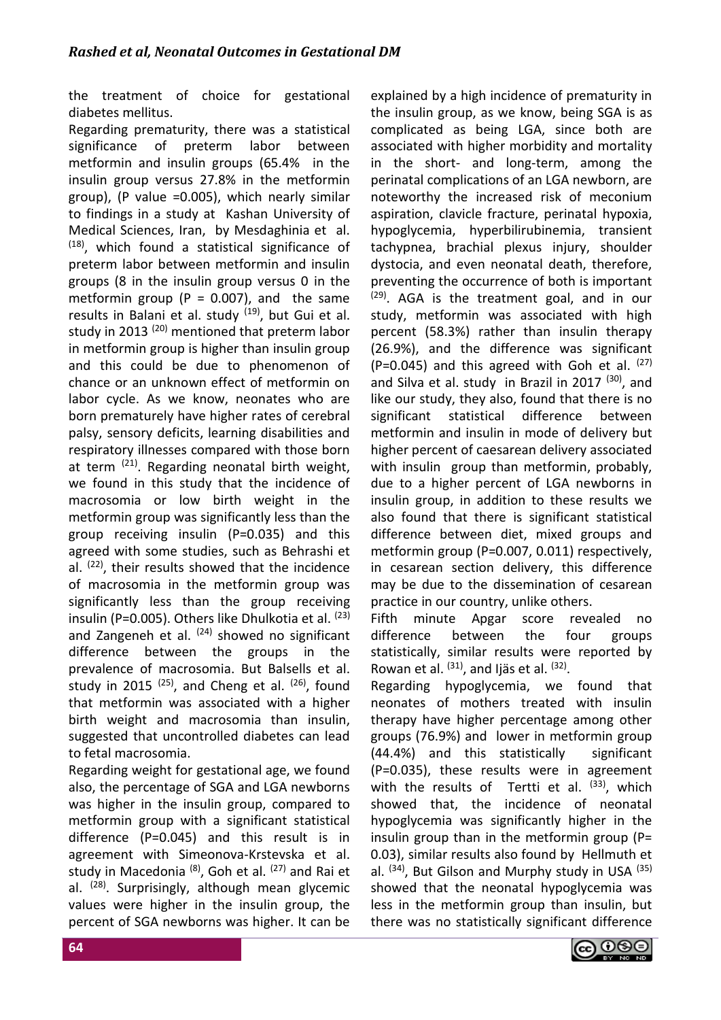the treatment of choice for gestational diabetes mellitus.

Regarding prematurity, there was a statistical significance of preterm labor between metformin and insulin groups (65.4% in the insulin group versus 27.8% in the metformin group), (P value =0.005), which nearly similar to findings in a study at Kashan University of Medical Sciences, Iran, by Mesdaghinia et al. <sup>(18)</sup>, which found a statistical significance of preterm labor between metformin and insulin groups (8 in the insulin group versus 0 in the metformin group ( $P = 0.007$ ), and the same results in Balani et al. study <sup>(19)</sup>, but Gui et al. study in 2013<sup>(20)</sup> mentioned that preterm labor in metformin group is higher than insulin group and this could be due to phenomenon of chance or an unknown effect of metformin on labor cycle. As we know, neonates who are born prematurely have higher rates of cerebral palsy, sensory deficits, learning disabilities and respiratory illnesses compared with those born at term <sup>(21)</sup>. Regarding neonatal birth weight, we found in this study that the incidence of macrosomia or low birth weight in the metformin group was significantly less than the group receiving insulin (P=0.035) and this agreed with some studies, such as Behrashi et al. <sup>(22)</sup>, their results showed that the incidence of macrosomia in the metformin group was significantly less than the group receiving insulin (P=0.005). Others like Dhulkotia et al. (23) and Zangeneh et al. <sup>(24)</sup> showed no significant difference between the groups in the prevalence of macrosomia. But Balsells et al. study in 2015 <sup>(25)</sup>, and Cheng et al. <sup>(26)</sup>, found that metformin was associated with a higher birth weight and macrosomia than insulin, suggested that uncontrolled diabetes can lead to fetal macrosomia.

Regarding weight for gestational age, we found also, the percentage of SGA and LGA newborns was higher in the insulin group, compared to metformin group with a significant statistical difference (P=0.045) and this result is in agreement with Simeonova-Krstevska et al. study in Macedonia <sup>(8)</sup>, Goh et al. <sup>(27)</sup> and Rai et al. <sup>(28)</sup>. Surprisingly, although mean glycemic values were higher in the insulin group, the percent of SGA newborns was higher. It can be explained by a high incidence of prematurity in the insulin group, as we know, being SGA is as complicated as being LGA, since both are associated with higher morbidity and mortality in the short- and long-term, among the perinatal complications of an LGA newborn, are noteworthy the increased risk of meconium aspiration, clavicle fracture, perinatal hypoxia, hypoglycemia, hyperbilirubinemia, transient tachypnea, brachial plexus injury, shoulder dystocia, and even neonatal death, therefore, preventing the occurrence of both is important <sup>(29)</sup>. AGA is the treatment goal, and in our study, metformin was associated with high percent (58.3%) rather than insulin therapy (26.9%), and the difference was significant (P=0.045) and this agreed with Goh et al.  $(27)$ and Silva et al. study in Brazil in 2017  $(30)$ , and like our study, they also, found that there is no significant statistical difference between metformin and insulin in mode of delivery but higher percent of caesarean delivery associated with insulin group than metformin, probably, due to a higher percent of LGA newborns in insulin group, in addition to these results we also found that there is significant statistical difference between diet, mixed groups and metformin group (P=0.007, 0.011) respectively, in cesarean section delivery, this difference may be due to the dissemination of cesarean practice in our country, unlike others.

Fifth minute Apgar score revealed no difference between the four groups statistically, similar results were reported by Rowan et al.  $(31)$ , and Ijäs et al.  $(32)$ .

Regarding hypoglycemia, we found that neonates of mothers treated with insulin therapy have higher percentage among other groups (76.9%) and lower in metformin group (44.4%) and this statistically significant (P=0.035), these results were in agreement with the results of Tertti et al.  $(33)$ , which showed that, the incidence of neonatal hypoglycemia was significantly higher in the insulin group than in the metformin group ( $P=$ 0.03), similar results also found by Hellmuth et al. <sup>(34)</sup>, But Gilson and Murphy study in USA <sup>(35)</sup> showed that the neonatal hypoglycemia was less in the metformin group than insulin, but there was no statistically significant difference

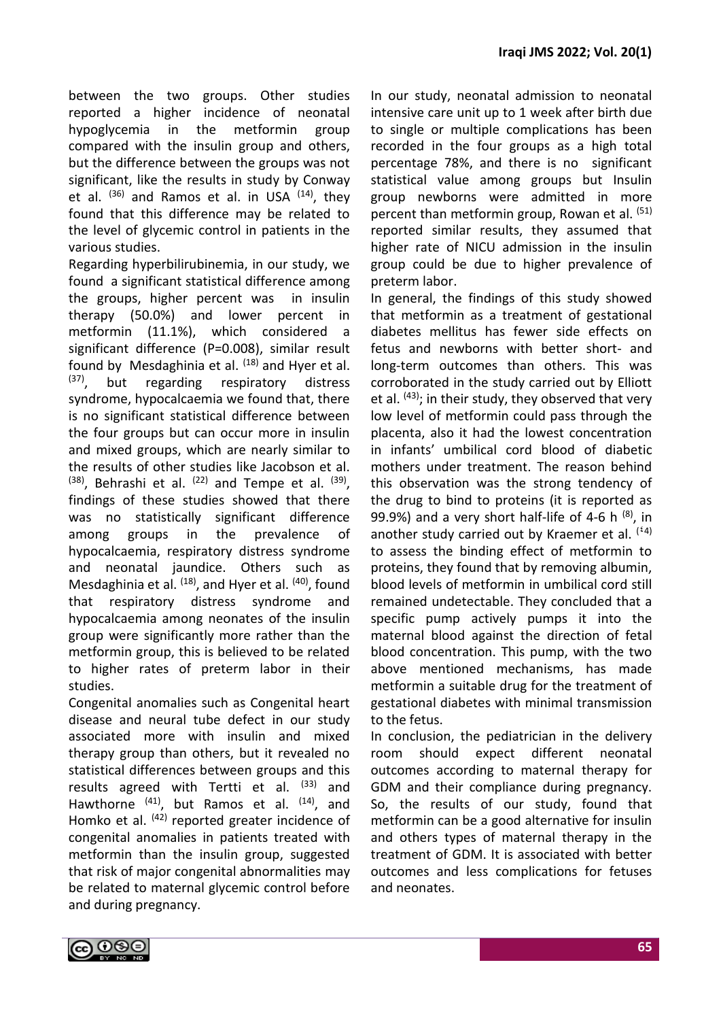between the two groups. Other studies reported a higher incidence of neonatal hypoglycemia in the metformin group compared with the insulin group and others, but the difference between the groups was not significant, like the results in study by Conway et al. <sup>(36)</sup> and Ramos et al. in USA <sup>(14)</sup>, they found that this difference may be related to the level of glycemic control in patients in the various studies.

Regarding hyperbilirubinemia, in our study, we found a significant statistical difference among the groups, higher percent was in insulin therapy (50.0%) and lower percent in metformin (11.1%), which considered a significant difference (P=0.008), similar result found by Mesdaghinia et al.  $(18)$  and Hyer et al.  $(37)$ , but regarding respiratory distress syndrome, hypocalcaemia we found that, there is no significant statistical difference between the four groups but can occur more in insulin and mixed groups, which are nearly similar to the results of other studies like Jacobson et al.  $(38)$ , Behrashi et al.  $(22)$  and Tempe et al.  $(39)$ , findings of these studies showed that there was no statistically significant difference among groups in the prevalence of hypocalcaemia, respiratory distress syndrome and neonatal jaundice. Others such as Mesdaghinia et al. <sup>(18)</sup>, and Hyer et al. <sup>(40)</sup>, found that respiratory distress syndrome and hypocalcaemia among neonates of the insulin group were significantly more rather than the metformin group, this is believed to be related to higher rates of preterm labor in their studies.

Congenital anomalies such as Congenital heart disease and neural tube defect in our study associated more with insulin and mixed therapy group than others, but it revealed no statistical differences between groups and this results agreed with Tertti et al.  $(33)$  and Hawthorne <sup>(41)</sup>, but Ramos et al. <sup>(14)</sup>, and Homko et al. <sup>(42)</sup> reported greater incidence of congenital anomalies in patients treated with metformin than the insulin group, suggested that risk of major congenital abnormalities may be related to maternal glycemic control before and during pregnancy.

In our study, neonatal admission to neonatal intensive care unit up to 1 week after birth due to single or multiple complications has been recorded in the four groups as a high total percentage 78%, and there is no significant statistical value among groups but Insulin group newborns were admitted in more percent than metformin group, Rowan et al. (51) reported similar results, they assumed that higher rate of NICU admission in the insulin group could be due to higher prevalence of preterm labor.

In general, the findings of this study showed that metformin as a treatment of gestational diabetes mellitus has fewer side effects on fetus and newborns with better short- and long-term outcomes than others. This was corroborated in the study carried out by Elliott et al. <sup>(43)</sup>; in their study, they observed that very low level of metformin could pass through the placenta, also it had the lowest concentration in infants' umbilical cord blood of diabetic mothers under treatment. The reason behind this observation was the strong tendency of the drug to bind to proteins (it is reported as 99.9%) and a very short half-life of 4-6 h  $(8)$ , in another study carried out by Kraemer et al.  $(4)$ to assess the binding effect of metformin to proteins, they found that by removing albumin, blood levels of metformin in umbilical cord still remained undetectable. They concluded that a specific pump actively pumps it into the maternal blood against the direction of fetal blood concentration. This pump, with the two above mentioned mechanisms, has made metformin a suitable drug for the treatment of gestational diabetes with minimal transmission to the fetus.

In conclusion, the pediatrician in the delivery room should expect different neonatal outcomes according to maternal therapy for GDM and their compliance during pregnancy. So, the results of our study, found that metformin can be a good alternative for insulin and others types of maternal therapy in the treatment of GDM. It is associated with better outcomes and less complications for fetuses and neonates.

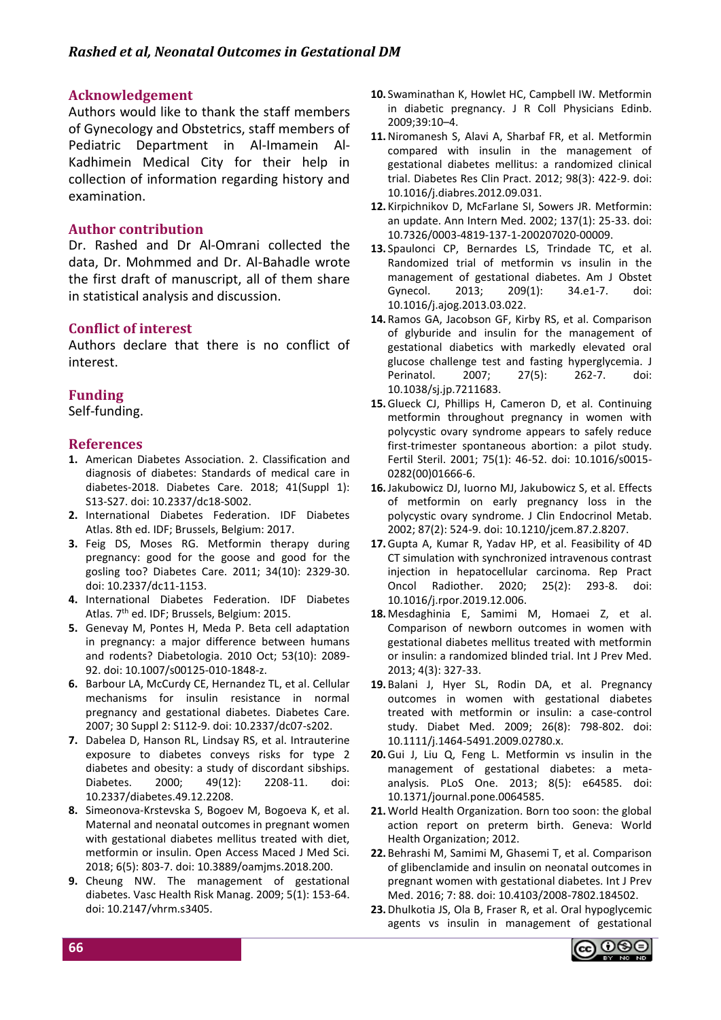## **Acknowledgement**

Authors would like to thank the staff members of Gynecology and Obstetrics, staff members of Pediatric Department in Al-Imamein Al-Kadhimein Medical City for their help in collection of information regarding history and examination.

## **Author contribution**

Dr. Rashed and Dr Al-Omrani collected the data, Dr. Mohmmed and Dr. Al-Bahadle wrote the first draft of manuscript, all of them share in statistical analysis and discussion.

# **Conflict of interest**

Authors declare that there is no conflict of interest.

# **Funding**

Self-funding.

### **References**

- **1.** American Diabetes Association. 2. Classification and diagnosis of diabetes: Standards of medical care in diabetes-2018. Diabetes Care. 2018; 41(Suppl 1): S13-S27. doi: 10.2337/dc18-S002.
- **2.** International Diabetes Federation. IDF Diabetes Atlas. 8th ed. IDF; Brussels, Belgium: 2017.
- **3.** Feig DS, Moses RG. Metformin therapy during pregnancy: good for the goose and good for the gosling too? Diabetes Care. 2011; 34(10): 2329-30. doi: 10.2337/dc11-1153.
- **4.** International Diabetes Federation. IDF Diabetes Atlas. 7th ed. IDF; Brussels, Belgium: 2015.
- **5.** Genevay M, Pontes H, Meda P. Beta cell adaptation in pregnancy: a major difference between humans and rodents? Diabetologia. 2010 Oct; 53(10): 2089- 92. doi: 10.1007/s00125-010-1848-z.
- **6.** Barbour LA, McCurdy CE, Hernandez TL, et al. Cellular mechanisms for insulin resistance in normal pregnancy and gestational diabetes. Diabetes Care. 2007; 30 Suppl 2: S112-9. doi: 10.2337/dc07-s202.
- **7.** Dabelea D, Hanson RL, Lindsay RS, et al. Intrauterine exposure to diabetes conveys risks for type 2 diabetes and obesity: a study of discordant sibships. Diabetes. 2000; 49(12): 2208-11. doi: 10.2337/diabetes.49.12.2208.
- **8.** Simeonova-Krstevska S, Bogoev M, Bogoeva K, et al. Maternal and neonatal outcomes in pregnant women with gestational diabetes mellitus treated with diet, metformin or insulin. Open Access Maced J Med Sci. 2018; 6(5): 803-7. doi: 10.3889/oamjms.2018.200.
- **9.** Cheung NW. The management of gestational diabetes. Vasc Health Risk Manag. 2009; 5(1): 153-64. doi: 10.2147/vhrm.s3405.
- **10.** Swaminathan K, Howlet HC, Campbell IW. Metformin in diabetic pregnancy. J R Coll Physicians Edinb. 2009;39:10–4.
- **11.**Niromanesh S, Alavi A, Sharbaf FR, et al. Metformin compared with insulin in the management of gestational diabetes mellitus: a randomized clinical trial. Diabetes Res Clin Pract. 2012; 98(3): 422-9. doi: 10.1016/j.diabres.2012.09.031.
- **12.** Kirpichnikov D, McFarlane SI, Sowers JR. Metformin: an update. Ann Intern Med. 2002; 137(1): 25-33. doi: 10.7326/0003-4819-137-1-200207020-00009.
- **13.** Spaulonci CP, Bernardes LS, Trindade TC, et al. Randomized trial of metformin vs insulin in the management of gestational diabetes. Am J Obstet Gynecol. 2013; 209(1): 34.e1-7. doi: 10.1016/j.ajog.2013.03.022.
- **14.** Ramos GA, Jacobson GF, Kirby RS, et al. Comparison of glyburide and insulin for the management of gestational diabetics with markedly elevated oral glucose challenge test and fasting hyperglycemia. J Perinatol. 2007; 27(5): 262-7. doi: 10.1038/sj.jp.7211683.
- **15.**Glueck CJ, Phillips H, Cameron D, et al. Continuing metformin throughout pregnancy in women with polycystic ovary syndrome appears to safely reduce first-trimester spontaneous abortion: a pilot study. Fertil Steril. 2001; 75(1): 46-52. doi: 10.1016/s0015- 0282(00)01666-6.
- **16.**Jakubowicz DJ, Iuorno MJ, Jakubowicz S, et al. Effects of metformin on early pregnancy loss in the polycystic ovary syndrome. J Clin Endocrinol Metab. 2002; 87(2): 524-9. doi: 10.1210/jcem.87.2.8207.
- **17.**Gupta A, Kumar R, Yadav HP, et al. Feasibility of 4D CT simulation with synchronized intravenous contrast injection in hepatocellular carcinoma. Rep Pract Oncol Radiother. 2020; 25(2): 293-8. doi: 10.1016/j.rpor.2019.12.006.
- **18.** Mesdaghinia E, Samimi M, Homaei Z, et al. Comparison of newborn outcomes in women with gestational diabetes mellitus treated with metformin or insulin: a randomized blinded trial. Int J Prev Med. 2013; 4(3): 327-33.
- **19.** Balani J, Hyer SL, Rodin DA, et al. Pregnancy outcomes in women with gestational diabetes treated with metformin or insulin: a case-control study. Diabet Med. 2009; 26(8): 798-802. doi: 10.1111/j.1464-5491.2009.02780.x.
- **20.**Gui J, Liu Q, Feng L. Metformin vs insulin in the management of gestational diabetes: a metaanalysis. PLoS One. 2013; 8(5): e64585. doi: 10.1371/journal.pone.0064585.
- **21.**World Health Organization. Born too soon: the global action report on preterm birth. Geneva: World Health Organization; 2012.
- **22.** Behrashi M, Samimi M, Ghasemi T, et al. Comparison of glibenclamide and insulin on neonatal outcomes in pregnant women with gestational diabetes. Int J Prev Med. 2016; 7: 88. doi: 10.4103/2008-7802.184502.
- **23.**Dhulkotia JS, Ola B, Fraser R, et al. Oral hypoglycemic agents vs insulin in management of gestational